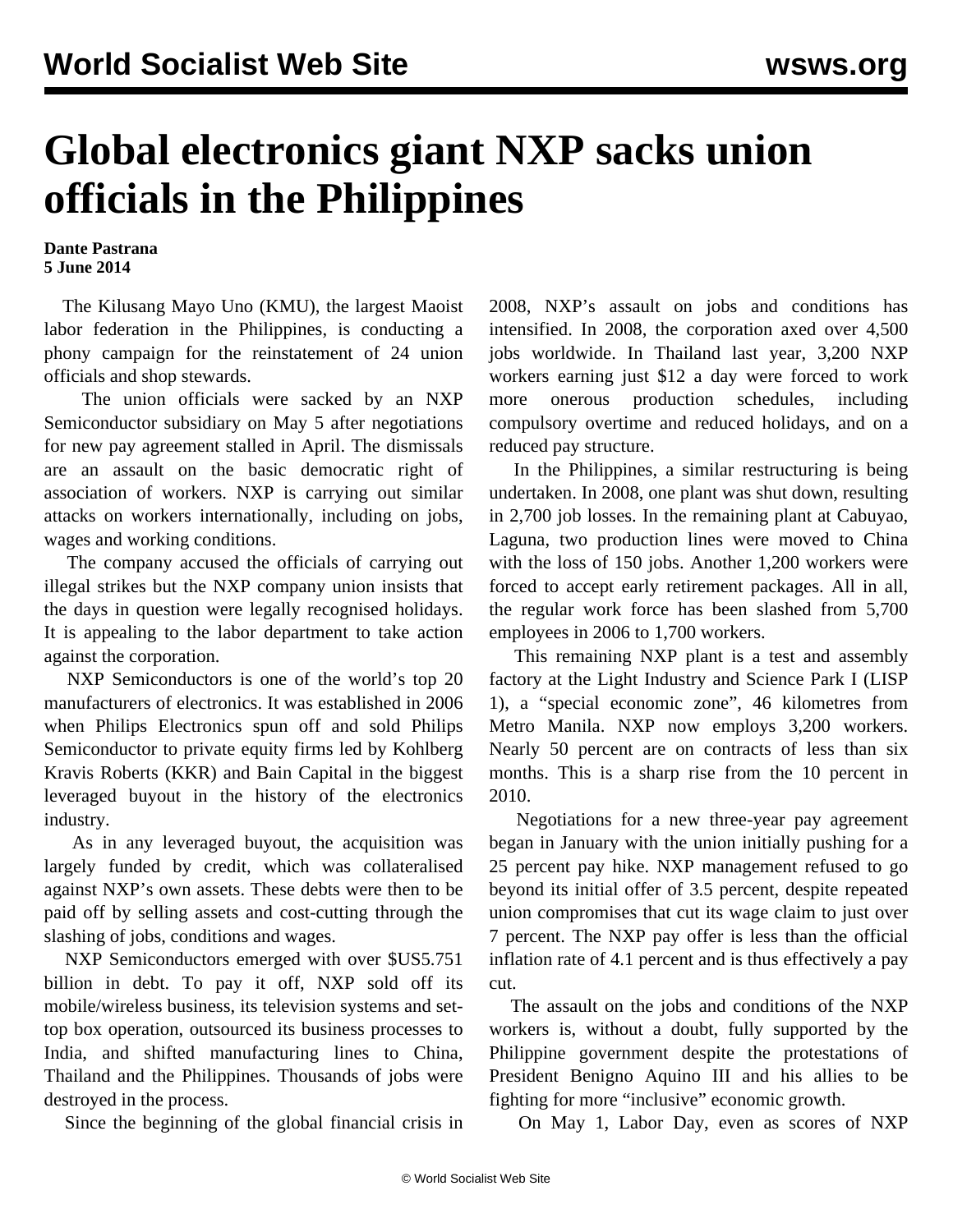## **Global electronics giant NXP sacks union officials in the Philippines**

## **Dante Pastrana 5 June 2014**

 The Kilusang Mayo Uno (KMU), the largest Maoist labor federation in the Philippines, is conducting a phony campaign for the reinstatement of 24 union officials and shop stewards.

 The union officials were sacked by an NXP Semiconductor subsidiary on May 5 after negotiations for new pay agreement stalled in April. The dismissals are an assault on the basic democratic right of association of workers. NXP is carrying out similar attacks on workers internationally, including on jobs, wages and working conditions.

 The company accused the officials of carrying out illegal strikes but the NXP company union insists that the days in question were legally recognised holidays. It is appealing to the labor department to take action against the corporation.

 NXP Semiconductors is one of the world's top 20 manufacturers of electronics. It was established in 2006 when Philips Electronics spun off and sold Philips Semiconductor to private equity firms led by Kohlberg Kravis Roberts (KKR) and Bain Capital in the biggest leveraged buyout in the history of the electronics industry.

 As in any leveraged buyout, the acquisition was largely funded by credit, which was collateralised against NXP's own assets. These debts were then to be paid off by selling assets and cost-cutting through the slashing of jobs, conditions and wages.

 NXP Semiconductors emerged with over \$US5.751 billion in debt. To pay it off, NXP sold off its mobile/wireless business, its television systems and settop box operation, outsourced its business processes to India, and shifted manufacturing lines to China, Thailand and the Philippines. Thousands of jobs were destroyed in the process.

Since the beginning of the global financial crisis in

2008, NXP's assault on jobs and conditions has intensified. In 2008, the corporation axed over 4,500 jobs worldwide. In Thailand last year, 3,200 NXP workers earning just \$12 a day were forced to work more onerous production schedules, including compulsory overtime and reduced holidays, and on a reduced pay structure.

 In the Philippines, a similar restructuring is being undertaken. In 2008, one plant was shut down, resulting in 2,700 job losses. In the remaining plant at Cabuyao, Laguna, two production lines were moved to China with the loss of 150 jobs. Another 1,200 workers were forced to accept early retirement packages. All in all, the regular work force has been slashed from 5,700 employees in 2006 to 1,700 workers.

 This remaining NXP plant is a test and assembly factory at the Light Industry and Science Park I (LISP 1), a "special economic zone", 46 kilometres from Metro Manila. NXP now employs 3,200 workers. Nearly 50 percent are on contracts of less than six months. This is a sharp rise from the 10 percent in 2010.

 Negotiations for a new three-year pay agreement began in January with the union initially pushing for a 25 percent pay hike. NXP management refused to go beyond its initial offer of 3.5 percent, despite repeated union compromises that cut its wage claim to just over 7 percent. The NXP pay offer is less than the official inflation rate of 4.1 percent and is thus effectively a pay cut.

 The assault on the jobs and conditions of the NXP workers is, without a doubt, fully supported by the Philippine government despite the protestations of President Benigno Aquino III and his allies to be fighting for more "inclusive" economic growth.

On May 1, Labor Day, even as scores of NXP